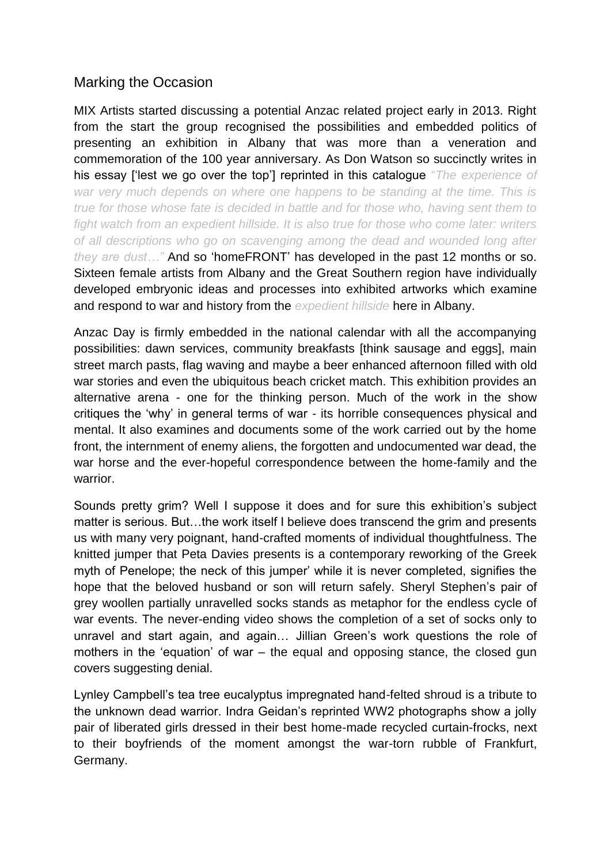## Marking the Occasion

MIX Artists started discussing a potential Anzac related project early in 2013. Right from the start the group recognised the possibilities and embedded politics of presenting an exhibition in Albany that was more than a veneration and commemoration of the 100 year anniversary. As Don Watson so succinctly writes in his essay ['lest we go over the top'] reprinted in this catalogue "*The experience of war very much depends on where one happens to be standing at the time. This is true for those whose fate is decided in battle and for those who, having sent them to fight watch from an expedient hillside. It is also true for those who come later: writers of all descriptions who go on scavenging among the dead and wounded long after they are dust…"* And so 'homeFRONT' has developed in the past 12 months or so. Sixteen female artists from Albany and the Great Southern region have individually developed embryonic ideas and processes into exhibited artworks which examine and respond to war and history from the *expedient hillside* here in Albany.

Anzac Day is firmly embedded in the national calendar with all the accompanying possibilities: dawn services, community breakfasts [think sausage and eggs], main street march pasts, flag waving and maybe a beer enhanced afternoon filled with old war stories and even the ubiquitous beach cricket match. This exhibition provides an alternative arena - one for the thinking person. Much of the work in the show critiques the 'why' in general terms of war - its horrible consequences physical and mental. It also examines and documents some of the work carried out by the home front, the internment of enemy aliens, the forgotten and undocumented war dead, the war horse and the ever-hopeful correspondence between the home-family and the warrior.

Sounds pretty grim? Well I suppose it does and for sure this exhibition's subject matter is serious. But…the work itself I believe does transcend the grim and presents us with many very poignant, hand-crafted moments of individual thoughtfulness. The knitted jumper that Peta Davies presents is a contemporary reworking of the Greek myth of Penelope; the neck of this jumper' while it is never completed, signifies the hope that the beloved husband or son will return safely. Sheryl Stephen's pair of grey woollen partially unravelled socks stands as metaphor for the endless cycle of war events. The never-ending video shows the completion of a set of socks only to unravel and start again, and again… Jillian Green's work questions the role of mothers in the 'equation' of war – the equal and opposing stance, the closed gun covers suggesting denial.

Lynley Campbell's tea tree eucalyptus impregnated hand-felted shroud is a tribute to the unknown dead warrior. Indra Geidan's reprinted WW2 photographs show a jolly pair of liberated girls dressed in their best home-made recycled curtain-frocks, next to their boyfriends of the moment amongst the war-torn rubble of Frankfurt, Germany.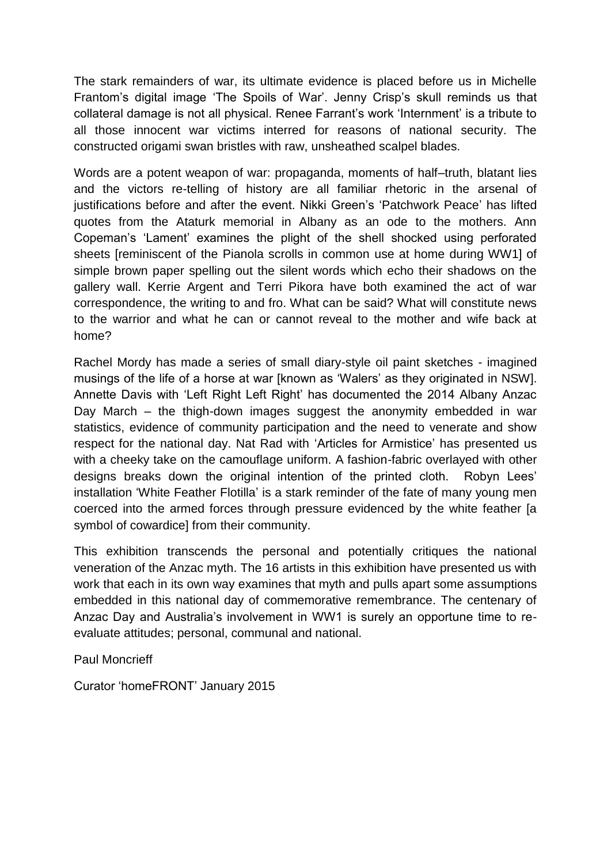The stark remainders of war, its ultimate evidence is placed before us in Michelle Frantom's digital image 'The Spoils of War'. Jenny Crisp's skull reminds us that collateral damage is not all physical. Renee Farrant's work 'Internment' is a tribute to all those innocent war victims interred for reasons of national security. The constructed origami swan bristles with raw, unsheathed scalpel blades.

Words are a potent weapon of war: propaganda, moments of half–truth, blatant lies and the victors re-telling of history are all familiar rhetoric in the arsenal of justifications before and after the event. Nikki Green's 'Patchwork Peace' has lifted quotes from the Ataturk memorial in Albany as an ode to the mothers. Ann Copeman's 'Lament' examines the plight of the shell shocked using perforated sheets [reminiscent of the Pianola scrolls in common use at home during WW1] of simple brown paper spelling out the silent words which echo their shadows on the gallery wall. Kerrie Argent and Terri Pikora have both examined the act of war correspondence, the writing to and fro. What can be said? What will constitute news to the warrior and what he can or cannot reveal to the mother and wife back at home?

Rachel Mordy has made a series of small diary-style oil paint sketches - imagined musings of the life of a horse at war [known as 'Walers' as they originated in NSW]. Annette Davis with 'Left Right Left Right' has documented the 2014 Albany Anzac Day March – the thigh-down images suggest the anonymity embedded in war statistics, evidence of community participation and the need to venerate and show respect for the national day. Nat Rad with 'Articles for Armistice' has presented us with a cheeky take on the camouflage uniform. A fashion-fabric overlayed with other designs breaks down the original intention of the printed cloth. Robyn Lees' installation 'White Feather Flotilla' is a stark reminder of the fate of many young men coerced into the armed forces through pressure evidenced by the white feather [a symbol of cowardice] from their community.

This exhibition transcends the personal and potentially critiques the national veneration of the Anzac myth. The 16 artists in this exhibition have presented us with work that each in its own way examines that myth and pulls apart some assumptions embedded in this national day of commemorative remembrance. The centenary of Anzac Day and Australia's involvement in WW1 is surely an opportune time to reevaluate attitudes; personal, communal and national.

Paul Moncrieff

Curator 'homeFRONT' January 2015